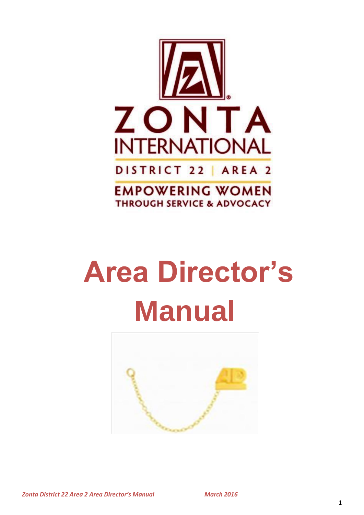

# **Area Director's Manual**



*Zonta District 22 Area 2 Area Director's Manual March 2016*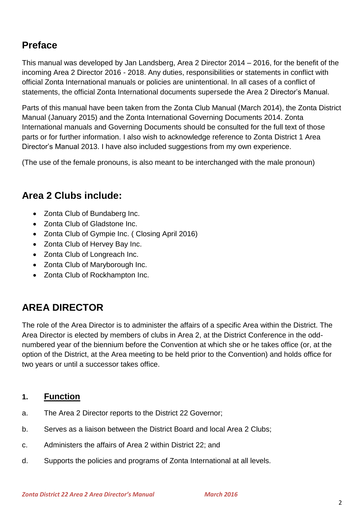# **Preface**

This manual was developed by Jan Landsberg, Area 2 Director 2014 – 2016, for the benefit of the incoming Area 2 Director 2016 - 2018. Any duties, responsibilities or statements in conflict with official Zonta International manuals or policies are unintentional. In all cases of a conflict of statements, the official Zonta International documents supersede the Area 2 Director's Manual.

Parts of this manual have been taken from the Zonta Club Manual (March 2014), the Zonta District Manual (January 2015) and the Zonta International Governing Documents 2014. Zonta International manuals and Governing Documents should be consulted for the full text of those parts or for further information. I also wish to acknowledge reference to Zonta District 1 Area Director's Manual 2013. I have also included suggestions from my own experience.

(The use of the female pronouns, is also meant to be interchanged with the male pronoun)

# **Area 2 Clubs include:**

- Zonta Club of Bundaberg Inc.
- Zonta Club of Gladstone Inc.
- Zonta Club of Gympie Inc. ( Closing April 2016)
- Zonta Club of Hervey Bay Inc.
- Zonta Club of Longreach Inc.
- Zonta Club of Maryborough Inc.
- Zonta Club of Rockhampton Inc.

# **AREA DIRECTOR**

The role of the Area Director is to administer the affairs of a specific Area within the District. The Area Director is elected by members of clubs in Area 2, at the District Conference in the oddnumbered year of the biennium before the Convention at which she or he takes office (or, at the option of the District, at the Area meeting to be held prior to the Convention) and holds office for two years or until a successor takes office.

# **1. Function**

- a. The Area 2 Director reports to the District 22 Governor;
- b. Serves as a liaison between the District Board and local Area 2 Clubs;
- c. Administers the affairs of Area 2 within District 22; and
- d. Supports the policies and programs of Zonta International at all levels.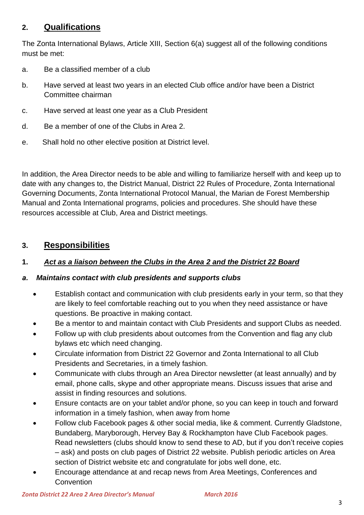# **2. Qualifications**

The Zonta International Bylaws, Article XIII, Section 6(a) suggest all of the following conditions must be met:

- a. Be a classified member of a club
- b. Have served at least two years in an elected Club office and/or have been a District Committee chairman
- c. Have served at least one year as a Club President
- d. Be a member of one of the Clubs in Area 2.
- e. Shall hold no other elective position at District level.

In addition, the Area Director needs to be able and willing to familiarize herself with and keep up to date with any changes to, the District Manual, District 22 Rules of Procedure, Zonta International Governing Documents, Zonta International Protocol Manual, the Marian de Forest Membership Manual and Zonta International programs, policies and procedures. She should have these resources accessible at Club, Area and District meetings.

# **3. Responsibilities**

## **1.** *Act as a liaison between the Clubs in the Area 2 and the District 22 Board*

## *a. Maintains contact with club presidents and supports clubs*

- Establish contact and communication with club presidents early in your term, so that they are likely to feel comfortable reaching out to you when they need assistance or have questions. Be proactive in making contact.
- Be a mentor to and maintain contact with Club Presidents and support Clubs as needed.
- Follow up with club presidents about outcomes from the Convention and flag any club bylaws etc which need changing.
- Circulate information from District 22 Governor and Zonta International to all Club Presidents and Secretaries, in a timely fashion.
- Communicate with clubs through an Area Director newsletter (at least annually) and by email, phone calls, skype and other appropriate means. Discuss issues that arise and assist in finding resources and solutions.
- Ensure contacts are on your tablet and/or phone, so you can keep in touch and forward information in a timely fashion, when away from home
- Follow club Facebook pages & other social media, like & comment. Currently Gladstone, Bundaberg, Maryborough, Hervey Bay & Rockhampton have Club Facebook pages. Read newsletters (clubs should know to send these to AD, but if you don't receive copies – ask) and posts on club pages of District 22 website. Publish periodic articles on Area section of District website etc and congratulate for jobs well done, etc.
- Encourage attendance at and recap news from Area Meetings, Conferences and **Convention**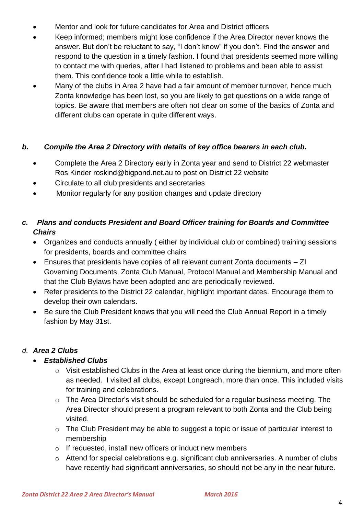- Mentor and look for future candidates for Area and District officers
- Keep informed; members might lose confidence if the Area Director never knows the answer. But don't be reluctant to say, "I don't know" if you don't. Find the answer and respond to the question in a timely fashion. I found that presidents seemed more willing to contact me with queries, after I had listened to problems and been able to assist them. This confidence took a little while to establish.
- Many of the clubs in Area 2 have had a fair amount of member turnover, hence much Zonta knowledge has been lost, so you are likely to get questions on a wide range of topics. Be aware that members are often not clear on some of the basics of Zonta and different clubs can operate in quite different ways.

## *b. Compile the Area 2 Directory with details of key office bearers in each club.*

- Complete the Area 2 Directory early in Zonta year and send to District 22 webmaster Ros Kinder roskind@bigpond.net.au to post on District 22 website
- Circulate to all club presidents and secretaries
- Monitor regularly for any position changes and update directory

# *c. Plans and conducts President and Board Officer training for Boards and Committee Chairs*

- Organizes and conducts annually ( either by individual club or combined) training sessions for presidents, boards and committee chairs
- Ensures that presidents have copies of all relevant current Zonta documents ZI Governing Documents, Zonta Club Manual, Protocol Manual and Membership Manual and that the Club Bylaws have been adopted and are periodically reviewed.
- Refer presidents to the District 22 calendar, highlight important dates. Encourage them to develop their own calendars.
- Be sure the Club President knows that you will need the Club Annual Report in a timely fashion by May 31st.

## *d. Area 2 Clubs*

## *Established Clubs*

- o Visit established Clubs in the Area at least once during the biennium, and more often as needed. I visited all clubs, except Longreach, more than once. This included visits for training and celebrations.
- o The Area Director's visit should be scheduled for a regular business meeting. The Area Director should present a program relevant to both Zonta and the Club being visited.
- o The Club President may be able to suggest a topic or issue of particular interest to membership
- o If requested, install new officers or induct new members
- o Attend for special celebrations e.g. significant club anniversaries. A number of clubs have recently had significant anniversaries, so should not be any in the near future.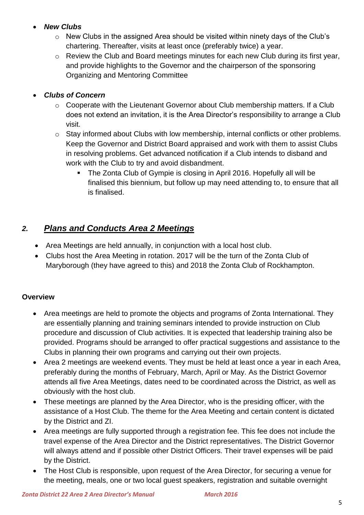## *New Clubs*

- o New Clubs in the assigned Area should be visited within ninety days of the Club's chartering. Thereafter, visits at least once (preferably twice) a year.
- o Review the Club and Board meetings minutes for each new Club during its first year, and provide highlights to the Governor and the chairperson of the sponsoring Organizing and Mentoring Committee

## *Clubs of Concern*

- o Cooperate with the Lieutenant Governor about Club membership matters. If a Club does not extend an invitation, it is the Area Director's responsibility to arrange a Club visit.
- o Stay informed about Clubs with low membership, internal conflicts or other problems. Keep the Governor and District Board appraised and work with them to assist Clubs in resolving problems. Get advanced notification if a Club intends to disband and work with the Club to try and avoid disbandment.
	- The Zonta Club of Gympie is closing in April 2016. Hopefully all will be finalised this biennium, but follow up may need attending to, to ensure that all is finalised.

# *2. Plans and Conducts Area 2 Meetings*

- Area Meetings are held annually, in conjunction with a local host club.
- Clubs host the Area Meeting in rotation. 2017 will be the turn of the Zonta Club of Maryborough (they have agreed to this) and 2018 the Zonta Club of Rockhampton.

## **Overview**

- Area meetings are held to promote the objects and programs of Zonta International. They are essentially planning and training seminars intended to provide instruction on Club procedure and discussion of Club activities. It is expected that leadership training also be provided. Programs should be arranged to offer practical suggestions and assistance to the Clubs in planning their own programs and carrying out their own projects.
- Area 2 meetings are weekend events. They must be held at least once a year in each Area, preferably during the months of February, March, April or May. As the District Governor attends all five Area Meetings, dates need to be coordinated across the District, as well as obviously with the host club.
- These meetings are planned by the Area Director, who is the presiding officer, with the assistance of a Host Club. The theme for the Area Meeting and certain content is dictated by the District and ZI.
- Area meetings are fully supported through a registration fee. This fee does not include the travel expense of the Area Director and the District representatives. The District Governor will always attend and if possible other District Officers. Their travel expenses will be paid by the District.
- The Host Club is responsible, upon request of the Area Director, for securing a venue for the meeting, meals, one or two local guest speakers, registration and suitable overnight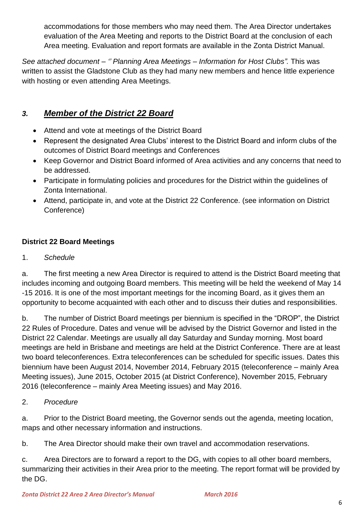accommodations for those members who may need them. The Area Director undertakes evaluation of the Area Meeting and reports to the District Board at the conclusion of each Area meeting. Evaluation and report formats are available in the Zonta District Manual.

*See attached document – '' Planning Area Meetings – Information for Host Clubs".* This was written to assist the Gladstone Club as they had many new members and hence little experience with hosting or even attending Area Meetings.

# *3. Member of the District 22 Board*

- Attend and vote at meetings of the District Board
- Represent the designated Area Clubs' interest to the District Board and inform clubs of the outcomes of District Board meetings and Conferences
- Keep Governor and District Board informed of Area activities and any concerns that need to be addressed.
- Participate in formulating policies and procedures for the District within the guidelines of Zonta International.
- Attend, participate in, and vote at the District 22 Conference. (see information on District Conference)

# **District 22 Board Meetings**

1. *Schedule*

a. The first meeting a new Area Director is required to attend is the District Board meeting that includes incoming and outgoing Board members. This meeting will be held the weekend of May 14 -15 2016. It is one of the most important meetings for the incoming Board, as it gives them an opportunity to become acquainted with each other and to discuss their duties and responsibilities.

b. The number of District Board meetings per biennium is specified in the "DROP", the District 22 Rules of Procedure. Dates and venue will be advised by the District Governor and listed in the District 22 Calendar. Meetings are usually all day Saturday and Sunday morning. Most board meetings are held in Brisbane and meetings are held at the District Conference. There are at least two board teleconferences. Extra teleconferences can be scheduled for specific issues. Dates this biennium have been August 2014, November 2014, February 2015 (teleconference – mainly Area Meeting issues), June 2015, October 2015 (at District Conference), November 2015, February 2016 (teleconference – mainly Area Meeting issues) and May 2016.

2. *Procedure*

a. Prior to the District Board meeting, the Governor sends out the agenda, meeting location, maps and other necessary information and instructions.

b. The Area Director should make their own travel and accommodation reservations.

c. Area Directors are to forward a report to the DG, with copies to all other board members, summarizing their activities in their Area prior to the meeting. The report format will be provided by the DG.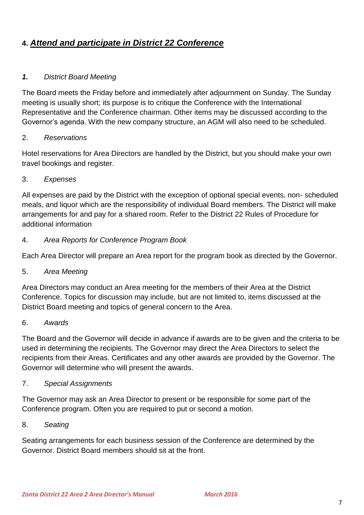# **4.** *Attend and participate in District 22 Conference*

## *1. District Board Meeting*

The Board meets the Friday before and immediately after adjournment on Sunday. The Sunday meeting is usually short; its purpose is to critique the Conference with the International Representative and the Conference chairman. Other items may be discussed according to the Governor's agenda. With the new company structure, an AGM will also need to be scheduled.

### 2. *Reservations*

Hotel reservations for Area Directors are handled by the District, but you should make your own travel bookings and register.

### 3. *Expenses*

All expenses are paid by the District with the exception of optional special events, non- scheduled meals, and liquor which are the responsibility of individual Board members. The District will make arrangements for and pay for a shared room. Refer to the District 22 Rules of Procedure for additional information

### 4. *Area Reports for Conference Program Book*

Each Area Director will prepare an Area report for the program book as directed by the Governor.

5. *Area Meeting*

Area Directors may conduct an Area meeting for the members of their Area at the District Conference. Topics for discussion may include, but are not limited to, items discussed at the District Board meeting and topics of general concern to the Area.

#### 6. *Awards*

The Board and the Governor will decide in advance if awards are to be given and the criteria to be used in determining the recipients. The Governor may direct the Area Directors to select the recipients from their Areas. Certificates and any other awards are provided by the Governor. The Governor will determine who will present the awards.

#### 7. *Special Assignments*

The Governor may ask an Area Director to present or be responsible for some part of the Conference program. Often you are required to put or second a motion.

#### 8. *Seating*

Seating arrangements for each business session of the Conference are determined by the Governor. District Board members should sit at the front.